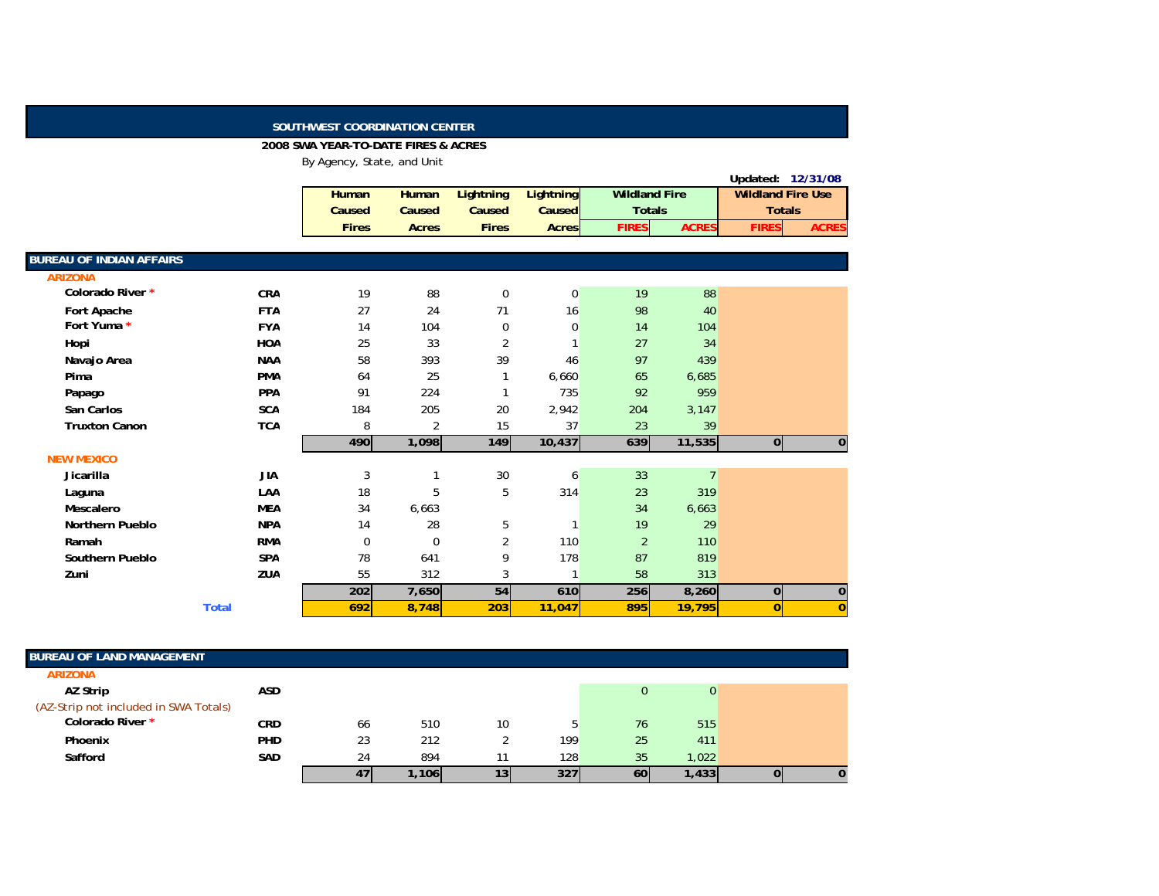## **SOUTHWEST COORDINATION CENTER**

## **2008 SWA YEAR-TO-DATE FIRES & ACRES**

By Agency, State, and Unit

|                                 |              |              |                |                  |                  |                      |                |                          | Updated: 12/31/08 |
|---------------------------------|--------------|--------------|----------------|------------------|------------------|----------------------|----------------|--------------------------|-------------------|
|                                 |              | Human        | Human          | <b>Lightning</b> | <b>Lightning</b> | <b>Wildland Fire</b> |                | <b>Wildland Fire Use</b> |                   |
|                                 |              | Caused       | Caused         | Caused           | Caused           | <b>Totals</b>        |                | <b>Totals</b>            |                   |
|                                 |              | <b>Fires</b> | <b>Acres</b>   | <b>Fires</b>     | <b>Acres</b>     | <b>FIRES</b>         | <b>ACRES</b>   | <b>FIRES</b>             | <b>ACRES</b>      |
|                                 |              |              |                |                  |                  |                      |                |                          |                   |
| <b>BUREAU OF INDIAN AFFAIRS</b> |              |              |                |                  |                  |                      |                |                          |                   |
| <b>ARIZONA</b>                  |              |              |                |                  |                  |                      |                |                          |                   |
| Colorado River *                | <b>CRA</b>   | 19           | 88             | $\mathbf 0$      | $\overline{0}$   | 19                   | 88             |                          |                   |
| Fort Apache                     | <b>FTA</b>   | 27           | 24             | 71               | 16               | 98                   | 40             |                          |                   |
| Fort Yuma *                     | <b>FYA</b>   | 14           | 104            | $\mathbf 0$      | 0                | 14                   | 104            |                          |                   |
| Hopi                            | <b>HOA</b>   | 25           | 33             | $\overline{2}$   |                  | 27                   | 34             |                          |                   |
| Navajo Area                     | <b>NAA</b>   | 58           | 393            | 39               | 46               | 97                   | 439            |                          |                   |
| Pima                            | <b>PMA</b>   | 64           | 25             |                  | 6,660            | 65                   | 6,685          |                          |                   |
| Papago                          | <b>PPA</b>   | 91           | 224            |                  | 735              | 92                   | 959            |                          |                   |
| San Carlos                      | <b>SCA</b>   | 184          | 205            | 20               | 2,942            | 204                  | 3,147          |                          |                   |
| <b>Truxton Canon</b>            | <b>TCA</b>   | 8            | $\overline{2}$ | 15               | 37               | 23                   | 39             |                          |                   |
|                                 |              | 490          | 1,098          | 149              | 10,437           | 639                  | 11,535         | 0                        | $\pmb{0}$         |
| <b>NEW MEXICO</b>               |              |              |                |                  |                  |                      |                |                          |                   |
| Jicarilla                       | <b>JIA</b>   | 3            |                | 30               | 6                | 33                   | $\overline{7}$ |                          |                   |
| Laguna                          | LAA          | 18           | 5              | 5                | 314              | 23                   | 319            |                          |                   |
| Mescalero                       | <b>MEA</b>   | 34           | 6,663          |                  |                  | 34                   | 6,663          |                          |                   |
| <b>Northern Pueblo</b>          | <b>NPA</b>   | 14           | 28             | 5                | $\mathbf{1}$     | 19                   | 29             |                          |                   |
| Ramah                           | <b>RMA</b>   | $\mathbf 0$  | $\Omega$       | $\overline{2}$   | 110              | $\overline{2}$       | 110            |                          |                   |
| Southern Pueblo                 | <b>SPA</b>   | 78           | 641            | 9                | 178              | 87                   | 819            |                          |                   |
| Zuni                            | <b>ZUA</b>   | 55           | 312            | 3                | $\mathbf{1}$     | 58                   | 313            |                          |                   |
|                                 |              | 202          | 7,650          | 54               | 610              | 256                  | 8,260          | $\overline{0}$           | $\pmb{0}$         |
|                                 | <b>Total</b> | 692          | 8,748          | 203              | 11,047           | 895                  | 19,795         | $\overline{0}$           | $\overline{0}$    |

| <b>BUREAU OF LAND MANAGEMENT</b>      |            |    |       |    |     |    |       |  |
|---------------------------------------|------------|----|-------|----|-----|----|-------|--|
| <b>ARIZONA</b>                        |            |    |       |    |     |    |       |  |
| AZ Strip                              | <b>ASD</b> |    |       |    |     |    |       |  |
| (AZ-Strip not included in SWA Totals) |            |    |       |    |     |    |       |  |
| Colorado River *                      | <b>CRD</b> | 66 | 510   | 10 |     | 76 | 515   |  |
| Phoenix                               | PHD        | 23 | 212   |    | 199 | 25 | 411   |  |
| Safford                               | <b>SAD</b> | 24 | 894   |    | 128 | 35 | 1,022 |  |
|                                       |            | 47 | 1,106 | 13 | 327 | 60 | 1,433 |  |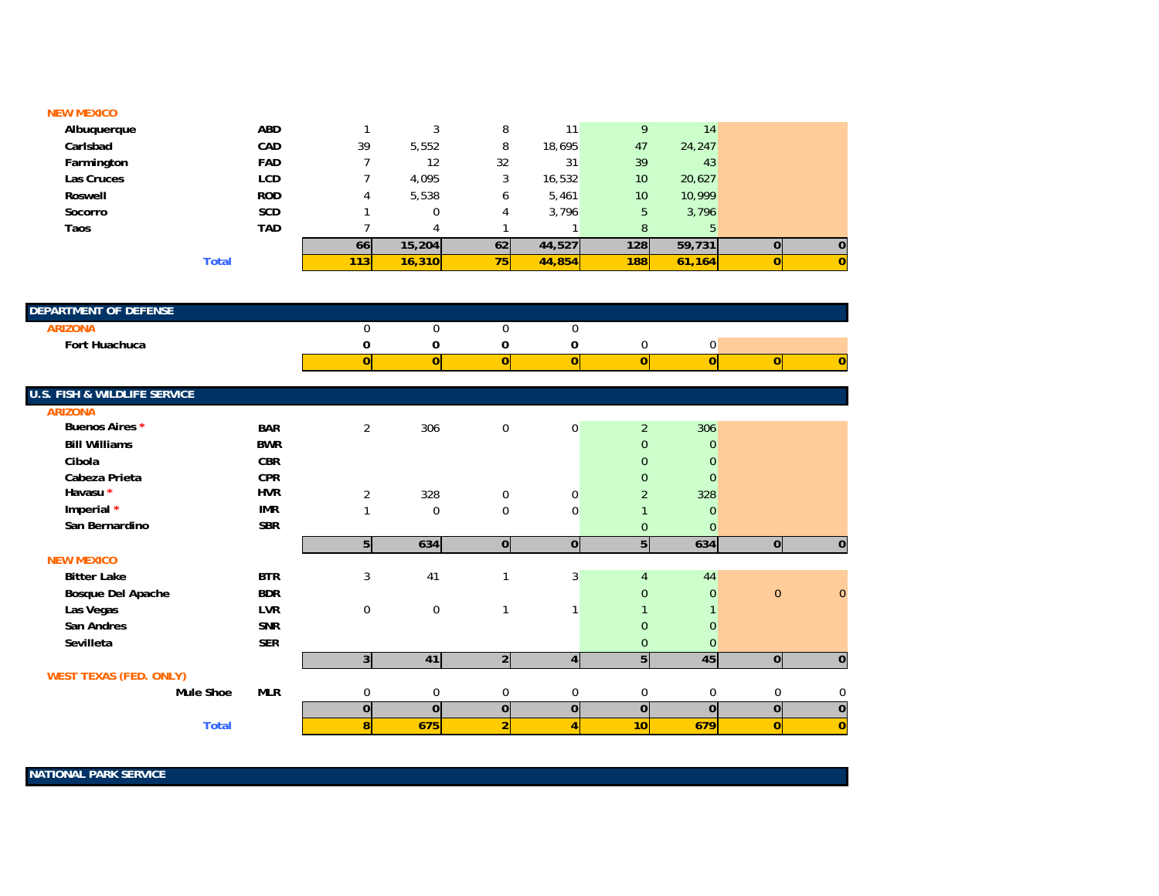## **NEW MEXICO**

| Albuquerque | <b>ABD</b>   |     | ົ      | 8  | 11     | 9          | 14     |          |
|-------------|--------------|-----|--------|----|--------|------------|--------|----------|
| Carlsbad    | CAD          | 39  | 5,552  | 8  | 18,695 | 47         | 24,247 |          |
| Farmington  | <b>FAD</b>   |     | 12     | 32 | 31     | 39         | 43     |          |
| Las Cruces  | LCD          |     | 4,095  |    | 16,532 | 10         | 20,627 |          |
| Roswell     | <b>ROD</b>   | 4   | 5,538  |    | 5,461  | 10         | 10,999 |          |
| Socorro     | <b>SCD</b>   |     |        |    | 3,796  | 5          | 3,796  |          |
| Taos        | <b>TAD</b>   |     | 4      |    |        | 8          | 5      |          |
|             |              | 66  | 15,204 | 62 | 44,527 | 1281       | 59,731 | $\bf{0}$ |
|             | <b>Total</b> | 113 | 16,310 | 75 | 44,854 | <b>188</b> | 61,164 |          |

| <b>DEPARTMENT OF DEFENSE</b> |  |  |  |  |
|------------------------------|--|--|--|--|
|                              |  |  |  |  |
| Fort Huachuca                |  |  |  |  |
|                              |  |  |  |  |

| U.S. FISH & WILDLIFE SERVICE  |            |                |                |                |                |                 |                |                |                |
|-------------------------------|------------|----------------|----------------|----------------|----------------|-----------------|----------------|----------------|----------------|
| <b>ARIZONA</b>                |            |                |                |                |                |                 |                |                |                |
| Buenos Aires *                | <b>BAR</b> | $\overline{2}$ | 306            | $\mathbf 0$    | $\mathbf 0$    | $\overline{2}$  | 306            |                |                |
| <b>Bill Williams</b>          | <b>BWR</b> |                |                |                |                | $\mathbf{0}$    | $\mathbf{0}$   |                |                |
| Cibola                        | <b>CBR</b> |                |                |                |                | $\mathbf{0}$    | $\overline{0}$ |                |                |
| Cabeza Prieta                 | <b>CPR</b> |                |                |                |                | $\mathbf{0}$    | $\overline{0}$ |                |                |
| Havasu *                      | <b>HVR</b> | $\overline{2}$ | 328            | $\mathbf 0$    | $\mathbf 0$    | $\overline{2}$  | 328            |                |                |
| Imperial *                    | <b>IMR</b> |                | $\mathbf 0$    | $\mathbf 0$    | 0              |                 | $\overline{0}$ |                |                |
| San Bernardino                | <b>SBR</b> |                |                |                |                | 0               | $\mathbf{0}$   |                |                |
|                               |            | 5              | 634            | $\overline{0}$ | $\overline{0}$ | 5 <sup>1</sup>  | 634            | $\overline{0}$ | 0              |
| <b>NEW MEXICO</b>             |            |                |                |                |                |                 |                |                |                |
| <b>Bitter Lake</b>            | <b>BTR</b> | 3              | 41             | 1              | 3              | $\overline{4}$  | 44             |                |                |
| Bosque Del Apache             | <b>BDR</b> |                |                |                |                | 0               | $\overline{0}$ | $\mathbf{0}$   | $\mathbf{0}$   |
| Las Vegas                     | <b>LVR</b> | 0              | 0              | $\mathbf{1}$   |                |                 |                |                |                |
| San Andres                    | <b>SNR</b> |                |                |                |                | $\overline{0}$  | $\overline{0}$ |                |                |
| Sevilleta                     | <b>SER</b> |                |                |                |                | 0               | $\overline{0}$ |                |                |
|                               |            | 3 <sup>1</sup> | 41             | 2 <sup>1</sup> | 4 <sup>1</sup> | 5 <sup>1</sup>  | 45             | $\overline{0}$ | $\overline{0}$ |
| <b>WEST TEXAS (FED. ONLY)</b> |            |                |                |                |                |                 |                |                |                |
| Mule Shoe                     | <b>MLR</b> | 0              | 0              | $\mathbf 0$    | $\Omega$       | 0               | 0              | $\mathbf 0$    | 0              |
|                               |            | $\mathbf 0$    | $\overline{0}$ | $\mathbf 0$    | $\overline{0}$ | $\overline{0}$  | $\overline{0}$ | $\mathbf 0$    | $\bf{0}$       |
| <b>Total</b>                  |            | 8              | 675            | $\overline{2}$ | 4              | 10 <sup>1</sup> | 679            | $\mathbf{0}$   | $\mathbf 0$    |
|                               |            |                |                |                |                |                 |                |                |                |

**NATIONAL PARK SERVICE**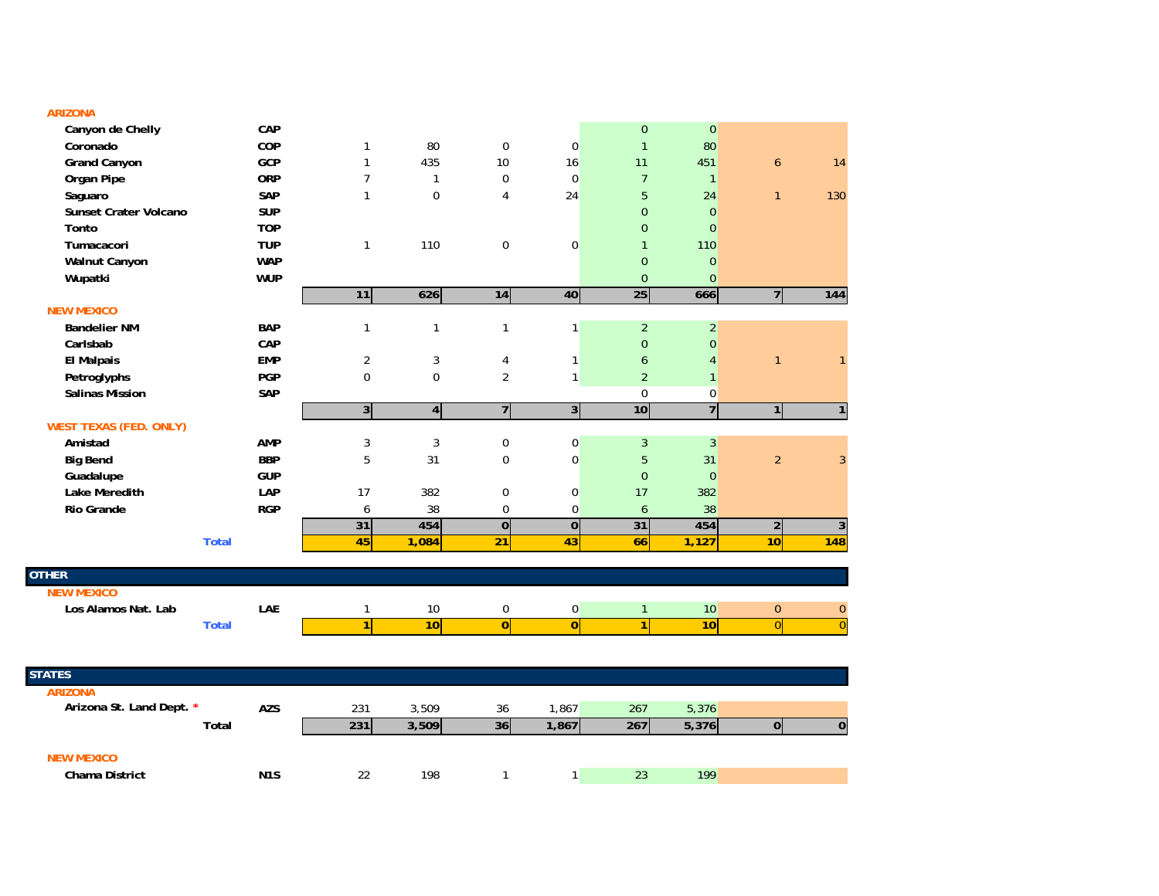| <b>Contract Contract Contract Contract Contract Contract Contract Contract Contract Contract Contract Contract Co</b><br>L |  |  |
|----------------------------------------------------------------------------------------------------------------------------|--|--|

| Canyon de Chelly              |              | CAP              |                |                |                |                         | $\mathbf 0$      | $\pmb{0}$      |                |                |
|-------------------------------|--------------|------------------|----------------|----------------|----------------|-------------------------|------------------|----------------|----------------|----------------|
| Coronado                      |              | COP              | $\mathbf{1}$   | 80             | $\pmb{0}$      | $\pmb{0}$               | $\mathbf{1}$     | 80             |                |                |
| <b>Grand Canyon</b>           |              | GCP              | $\mathbf{1}$   | 435            | 10             | 16                      | 11               | 451            | $\mathbf{6}$   | 14             |
| Organ Pipe                    |              | <b>ORP</b>       | $\overline{7}$ | $\mathbf{1}$   | $\pmb{0}$      | $\pmb{0}$               | $\overline{7}$   | $\mathbf{1}$   |                |                |
| Saguaro                       |              | SAP              | $\mathbf{1}$   | $\Omega$       | 4              | 24                      | 5                | 24             | $\mathbf{1}$   | 130            |
| <b>Sunset Crater Volcano</b>  |              | <b>SUP</b>       |                |                |                |                         | $\overline{0}$   | $\mathbf{0}$   |                |                |
| Tonto                         |              | <b>TOP</b>       |                |                |                |                         | $\overline{0}$   | $\Omega$       |                |                |
| Tumacacori                    |              | <b>TUP</b>       | $\mathbf{1}$   | 110            | 0              | $\boldsymbol{0}$        | $\mathbf{1}$     | 110            |                |                |
| Walnut Canyon                 |              | <b>WAP</b>       |                |                |                |                         | $\mathbf{0}$     | $\mathbf{0}$   |                |                |
| Wupatki                       |              | <b>WUP</b>       |                |                |                |                         | $\overline{0}$   | $\mathbf{0}$   |                |                |
|                               |              |                  | 11             | 626            | 14             | 40                      | 25               | 666            | $\overline{7}$ | 144            |
| <b>NEW MEXICO</b>             |              |                  |                |                |                |                         |                  |                |                |                |
| <b>Bandelier NM</b>           |              | <b>BAP</b>       | $\mathbf{1}$   | $\mathbf{1}$   | $\mathbf{1}$   | $\mathbf{1}$            | $\overline{2}$   | $\overline{2}$ |                |                |
| Carlsbab                      |              | CAP              |                |                |                |                         | $\overline{0}$   | $\mathbf{0}$   |                |                |
| <b>El Malpais</b>             |              | <b>EMP</b>       | $\overline{2}$ | 3              | 4              | $\mathbf{1}$            | $\boldsymbol{6}$ | $\overline{4}$ | $\mathbf{1}$   | $\mathbf{1}$   |
| Petroglyphs                   |              | <b>PGP</b>       | $\mathbf 0$    | $\mathbf 0$    | 2              | $\mathbf{1}$            | $\overline{2}$   | $\mathbf{1}$   |                |                |
| <b>Salinas Mission</b>        |              | SAP              |                |                |                |                         | $\mathbf 0$      | $\pmb{0}$      |                |                |
|                               |              |                  | 3 <sup>1</sup> | $\overline{4}$ | $\overline{7}$ | $\overline{3}$          | 10               | $\overline{7}$ | $\overline{1}$ | $\mathbf{1}$   |
| <b>WEST TEXAS (FED. ONLY)</b> |              |                  |                |                |                |                         |                  |                |                |                |
| Amistad                       |              | <b>AMP</b>       | 3              | 3              | 0              | $\pmb{0}$               | 3                | $\overline{3}$ |                |                |
| <b>Big Bend</b>               |              | <b>BBP</b>       | 5              | 31             | $\mathbf 0$    | $\pmb{0}$               | $\overline{5}$   | 31             | $\overline{2}$ | 3              |
| Guadalupe                     |              | <b>GUP</b>       |                |                |                |                         | $\mathbf 0$      | $\mathbf 0$    |                |                |
| Lake Meredith                 |              | LAP              | 17             | 382            | 0              | 0                       | 17               | 382            |                |                |
| <b>Rio Grande</b>             |              | <b>RGP</b>       | 6              | 38             | $\mathbf 0$    | $\pmb{0}$               | 6                | 38             |                |                |
|                               |              |                  | 31             | 454            | $\overline{0}$ | $\overline{\textbf{0}}$ | 31               | 454            | $\mathbf 2$    | $\overline{3}$ |
|                               | <b>Total</b> |                  | 45             | 1,084          | 21             | 43                      | 66               | 1,127          | 10             | 148            |
|                               |              |                  |                |                |                |                         |                  |                |                |                |
| <b>OTHER</b>                  |              |                  |                |                |                |                         |                  |                |                |                |
| <b>NEW MEXICO</b>             |              |                  |                |                |                |                         |                  |                |                |                |
| Los Alamos Nat. Lab           |              | LAE              | $\mathbf{1}$   | 10             | 0              | $\pmb{0}$               | $\mathbf{1}$     | 10             | $\bf{0}$       | $\bf{0}$       |
|                               | <b>Total</b> |                  | 1              | 10             | 0              | $\overline{0}$          | 1                | 10             | $\overline{0}$ | $\overline{0}$ |
|                               |              |                  |                |                |                |                         |                  |                |                |                |
|                               |              |                  |                |                |                |                         |                  |                |                |                |
| <b>STATES</b>                 |              |                  |                |                |                |                         |                  |                |                |                |
| <b>ARIZONA</b>                |              |                  |                |                |                |                         |                  |                |                |                |
| Arizona St. Land Dept. *      |              | <b>AZS</b>       | 231            | 3,509          | 36             | 1,867                   | 267              | 5,376          |                |                |
|                               | Total        |                  | 231            | 3,509          | 36             | 1,867                   | 267              | 5,376          | $\overline{0}$ | $\overline{0}$ |
|                               |              |                  |                |                |                |                         |                  |                |                |                |
| <b>NEW MEXICO</b>             |              |                  |                |                |                |                         |                  |                |                |                |
| Chama District                |              | N <sub>1</sub> S | 22             | 198            | $\mathbf{1}$   | $\mathbf{1}$            | 23               | 199            |                |                |